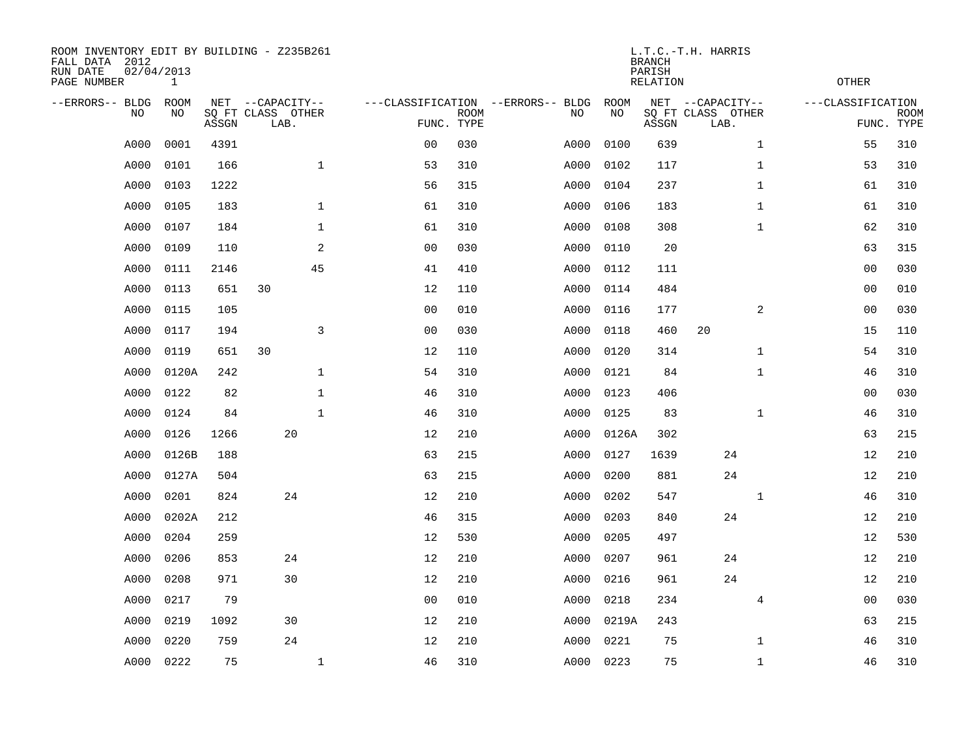| ROOM INVENTORY EDIT BY BUILDING - Z235B261<br>FALL DATA 2012<br>RUN DATE<br>PAGE NUMBER | 02/04/2013<br>$\mathbf{1}$ |       |                                               |              |                |             |                                         |            | <b>BRANCH</b><br>PARISH<br><b>RELATION</b> | L.T.C.-T.H. HARRIS                            | <b>OTHER</b>      |                           |
|-----------------------------------------------------------------------------------------|----------------------------|-------|-----------------------------------------------|--------------|----------------|-------------|-----------------------------------------|------------|--------------------------------------------|-----------------------------------------------|-------------------|---------------------------|
| --ERRORS-- BLDG<br>NO.                                                                  | ROOM<br>NO                 | ASSGN | NET --CAPACITY--<br>SQ FT CLASS OTHER<br>LAB. |              | FUNC. TYPE     | <b>ROOM</b> | ---CLASSIFICATION --ERRORS-- BLDG<br>NO | ROOM<br>NO | ASSGN                                      | NET --CAPACITY--<br>SQ FT CLASS OTHER<br>LAB. | ---CLASSIFICATION | <b>ROOM</b><br>FUNC. TYPE |
| A000                                                                                    | 0001                       | 4391  |                                               |              | 0 <sub>0</sub> | 030         | A000                                    | 0100       | 639                                        | $\mathbf{1}$                                  | 55                | 310                       |
| A000                                                                                    | 0101                       | 166   |                                               | $\mathbf{1}$ | 53             | 310         | A000                                    | 0102       | 117                                        | $\mathbf{1}$                                  | 53                | 310                       |
| A000                                                                                    | 0103                       | 1222  |                                               |              | 56             | 315         | A000                                    | 0104       | 237                                        | $\mathbf{1}$                                  | 61                | 310                       |
| A000                                                                                    | 0105                       | 183   |                                               | $\mathbf{1}$ | 61             | 310         | A000                                    | 0106       | 183                                        | $\mathbf{1}$                                  | 61                | 310                       |
| A000                                                                                    | 0107                       | 184   |                                               | $\mathbf{1}$ | 61             | 310         | A000                                    | 0108       | 308                                        | $\mathbf{1}$                                  | 62                | 310                       |
| A000                                                                                    | 0109                       | 110   |                                               | 2            | 0 <sub>0</sub> | 030         | A000                                    | 0110       | 20                                         |                                               | 63                | 315                       |
| A000                                                                                    | 0111                       | 2146  |                                               | 45           | 41             | 410         | A000                                    | 0112       | 111                                        |                                               | 0 <sub>0</sub>    | 030                       |
| A000                                                                                    | 0113                       | 651   | 30                                            |              | 12             | 110         | A000                                    | 0114       | 484                                        |                                               | 0 <sub>0</sub>    | 010                       |
| A000                                                                                    | 0115                       | 105   |                                               |              | 0 <sub>0</sub> | 010         | A000                                    | 0116       | 177                                        | $\overline{a}$                                | 0 <sub>0</sub>    | 030                       |
| A000                                                                                    | 0117                       | 194   |                                               | 3            | 0 <sub>0</sub> | 030         | A000                                    | 0118       | 460                                        | 20                                            | 15                | 110                       |
| A000                                                                                    | 0119                       | 651   | 30                                            |              | 12             | 110         | A000                                    | 0120       | 314                                        | $\mathbf{1}$                                  | 54                | 310                       |
| A000                                                                                    | 0120A                      | 242   |                                               | $\mathbf 1$  | 54             | 310         | A000                                    | 0121       | 84                                         | $\mathbf{1}$                                  | 46                | 310                       |
| A000                                                                                    | 0122                       | 82    |                                               | $\mathbf 1$  | 46             | 310         | A000                                    | 0123       | 406                                        |                                               | 00                | 030                       |
| A000                                                                                    | 0124                       | 84    |                                               | $\mathbf 1$  | 46             | 310         | A000                                    | 0125       | 83                                         | $\mathbf{1}$                                  | 46                | 310                       |
| A000                                                                                    | 0126                       | 1266  | 20                                            |              | 12             | 210         | A000                                    | 0126A      | 302                                        |                                               | 63                | 215                       |
| A000                                                                                    | 0126B                      | 188   |                                               |              | 63             | 215         | A000                                    | 0127       | 1639                                       | 24                                            | 12                | 210                       |
| A000                                                                                    | 0127A                      | 504   |                                               |              | 63             | 215         | A000                                    | 0200       | 881                                        | 24                                            | 12                | 210                       |
| A000                                                                                    | 0201                       | 824   | 24                                            |              | 12             | 210         | A000                                    | 0202       | 547                                        | $\mathbf{1}$                                  | 46                | 310                       |
| A000                                                                                    | 0202A                      | 212   |                                               |              | 46             | 315         | A000                                    | 0203       | 840                                        | 24                                            | 12                | 210                       |
| A000                                                                                    | 0204                       | 259   |                                               |              | 12             | 530         | A000                                    | 0205       | 497                                        |                                               | 12                | 530                       |
| A000                                                                                    | 0206                       | 853   | 24                                            |              | 12             | 210         | A000                                    | 0207       | 961                                        | 24                                            | 12                | 210                       |
| A000                                                                                    | 0208                       | 971   | 30                                            |              | 12             | 210         | A000                                    | 0216       | 961                                        | 24                                            | 12                | 210                       |
| A000                                                                                    | 0217                       | 79    |                                               |              | 0 <sub>0</sub> | 010         | A000                                    | 0218       | 234                                        | $\overline{4}$                                | 0 <sub>0</sub>    | 030                       |
| A000                                                                                    | 0219                       | 1092  | 30                                            |              | 12             | 210         | A000                                    | 0219A      | 243                                        |                                               | 63                | 215                       |
| A000                                                                                    | 0220                       | 759   | 24                                            |              | 12             | 210         | A000                                    | 0221       | 75                                         | $\mathbf{1}$                                  | 46                | 310                       |
| A000                                                                                    | 0222                       | 75    |                                               | $\mathbf{1}$ | 46             | 310         |                                         | A000 0223  | 75                                         | $\mathbf{1}$                                  | 46                | 310                       |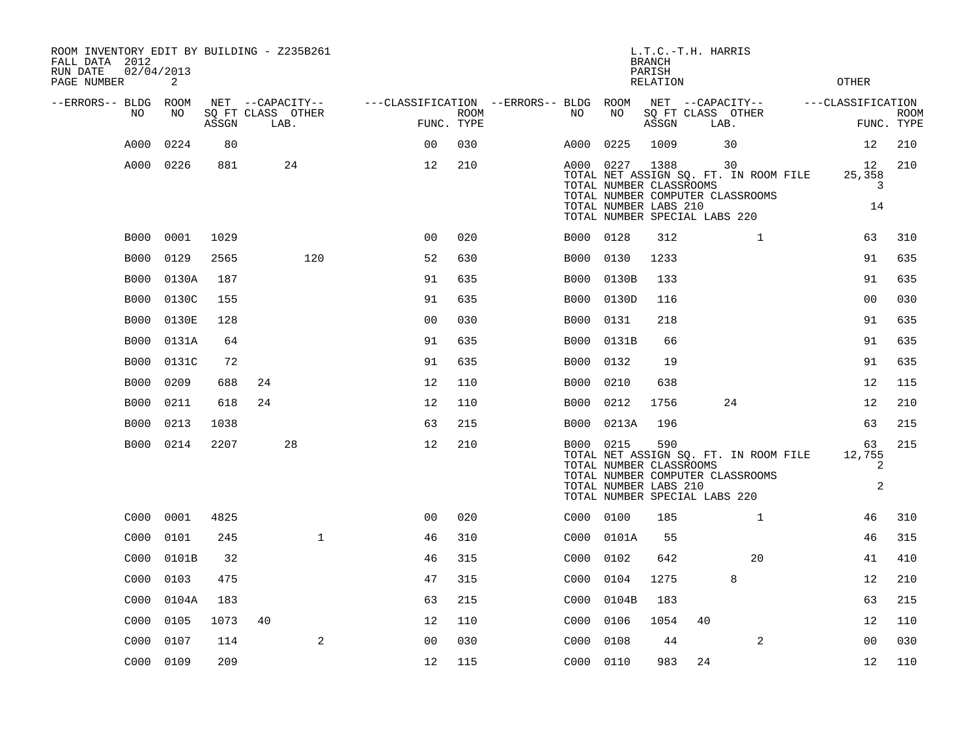| ROOM INVENTORY EDIT BY BUILDING - Z235B261<br>FALL DATA 2012<br>RUN DATE | 02/04/2013 |       |                           |                                   |                    |           |                                                               | <b>BRANCH</b><br>PARISH | L.T.C.-T.H. HARRIS                                                                                               |                                   |                           |
|--------------------------------------------------------------------------|------------|-------|---------------------------|-----------------------------------|--------------------|-----------|---------------------------------------------------------------|-------------------------|------------------------------------------------------------------------------------------------------------------|-----------------------------------|---------------------------|
| PAGE NUMBER                                                              | 2          |       |                           |                                   |                    |           |                                                               | <b>RELATION</b>         |                                                                                                                  | <b>OTHER</b>                      |                           |
| --ERRORS-- BLDG                                                          | ROOM       |       | NET --CAPACITY--          | ---CLASSIFICATION --ERRORS-- BLDG |                    |           | ROOM                                                          |                         | NET --CAPACITY--                                                                                                 | ---CLASSIFICATION                 |                           |
| NO                                                                       | NO         | ASSGN | SQ FT CLASS OTHER<br>LAB. |                                   | ROOM<br>FUNC. TYPE | NO        | NO                                                            | ASSGN                   | SQ FT CLASS OTHER<br>LAB.                                                                                        |                                   | <b>ROOM</b><br>FUNC. TYPE |
| A000                                                                     | 0224       | 80    |                           | 0 <sub>0</sub>                    | 030                | A000      | 0225                                                          | 1009                    | 30                                                                                                               | 12                                | 210                       |
| A000                                                                     | 0226       | 881   | 24                        | 12                                | 210                |           | A000 0227<br>TOTAL NUMBER CLASSROOMS<br>TOTAL NUMBER LABS 210 | 1388                    | 30<br>TOTAL NET ASSIGN SQ. FT. IN ROOM FILE<br>TOTAL NUMBER COMPUTER CLASSROOMS<br>TOTAL NUMBER SPECIAL LABS 220 | 12<br>25,358<br>3<br>14           | 210                       |
| B000                                                                     | 0001       | 1029  |                           | 0 <sub>0</sub>                    | 020                | B000 0128 |                                                               | 312                     | $\mathbf{1}$                                                                                                     | 63                                | 310                       |
| <b>B000</b>                                                              | 0129       | 2565  | 120                       | 52                                | 630                | B000      | 0130                                                          | 1233                    |                                                                                                                  | 91                                | 635                       |
| <b>B000</b>                                                              | 0130A      | 187   |                           | 91                                | 635                | B000      | 0130B                                                         | 133                     |                                                                                                                  | 91                                | 635                       |
| <b>B000</b>                                                              | 0130C      | 155   |                           | 91                                | 635                | B000      | 0130D                                                         | 116                     |                                                                                                                  | 00                                | 030                       |
| <b>B000</b>                                                              | 0130E      | 128   |                           | 0 <sub>0</sub>                    | 030                | B000      | 0131                                                          | 218                     |                                                                                                                  | 91                                | 635                       |
| B000                                                                     | 0131A      | 64    |                           | 91                                | 635                | B000      | 0131B                                                         | 66                      |                                                                                                                  | 91                                | 635                       |
| <b>B000</b>                                                              | 0131C      | 72    |                           | 91                                | 635                | B000      | 0132                                                          | 19                      |                                                                                                                  | 91                                | 635                       |
| <b>B000</b>                                                              | 0209       | 688   | 24                        | 12                                | 110                | B000      | 0210                                                          | 638                     |                                                                                                                  | 12                                | 115                       |
| B000                                                                     | 0211       | 618   | 24                        | 12                                | 110                | B000      | 0212                                                          | 1756                    | 24                                                                                                               | 12                                | 210                       |
| <b>B000</b>                                                              | 0213       | 1038  |                           | 63                                | 215                | B000      | 0213A                                                         | 196                     |                                                                                                                  | 63                                | 215                       |
| B000                                                                     | 0214       | 2207  | 28                        | 12                                | 210                | B000 0215 | TOTAL NUMBER CLASSROOMS<br>TOTAL NUMBER LABS 210              | 590                     | TOTAL NET ASSIGN SQ. FT. IN ROOM FILE<br>TOTAL NUMBER COMPUTER CLASSROOMS<br>TOTAL NUMBER SPECIAL LABS 220       | 63<br>12,755<br>2<br>$\mathbf{2}$ | 215                       |
| C000                                                                     | 0001       | 4825  |                           | 0 <sub>0</sub>                    | 020                | C000 0100 |                                                               | 185                     | $\mathbf{1}$                                                                                                     | 46                                | 310                       |
| C000                                                                     | 0101       | 245   | $\mathbf{1}$              | 46                                | 310                | C000      | 0101A                                                         | 55                      |                                                                                                                  | 46                                | 315                       |
| C000                                                                     | 0101B      | 32    |                           | 46                                | 315                | C000      | 0102                                                          | 642                     | 20                                                                                                               | 41                                | 410                       |
| C000                                                                     | 0103       | 475   |                           | 47                                | 315                | C000      | 0104                                                          | 1275                    | 8                                                                                                                | 12                                | 210                       |
| C000                                                                     | 0104A      | 183   |                           | 63                                | 215                | C000      | 0104B                                                         | 183                     |                                                                                                                  | 63                                | 215                       |
| C000                                                                     | 0105       | 1073  | 40                        | 12                                | 110                | C000      | 0106                                                          | 1054                    | 40                                                                                                               | 12                                | 110                       |
| C000                                                                     | 0107       | 114   | 2                         | 0 <sub>0</sub>                    | 030                | C000      | 0108                                                          | 44                      | 2                                                                                                                | 00                                | 030                       |
|                                                                          | C000 0109  | 209   |                           | 12                                | 115                | C000 0110 |                                                               | 983                     | 24                                                                                                               | 12                                | 110                       |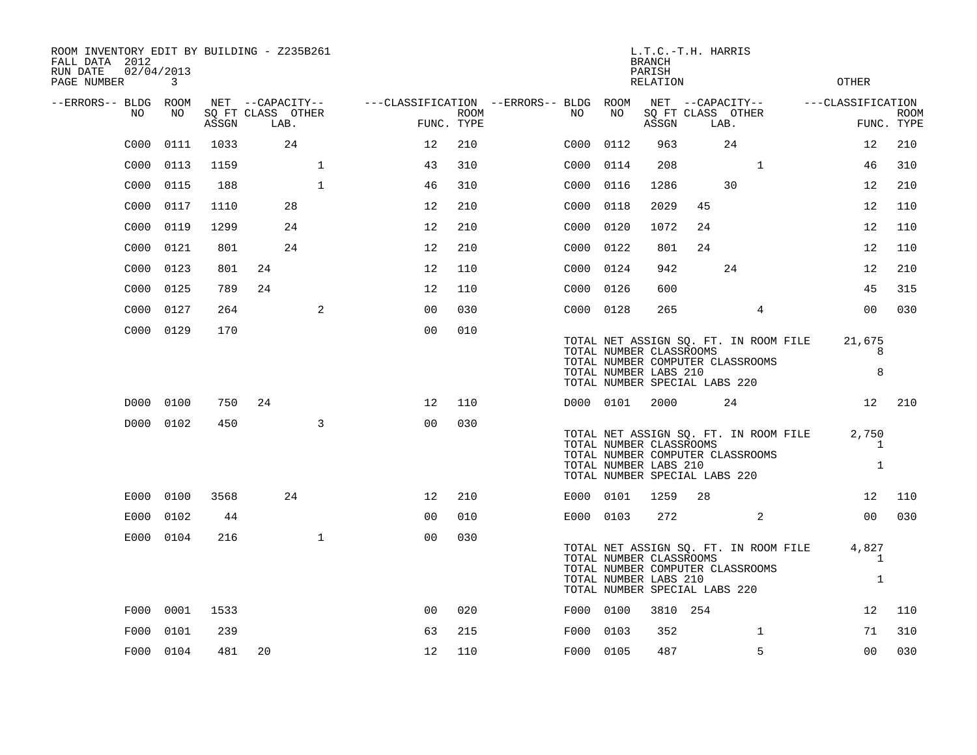| ROOM INVENTORY EDIT BY BUILDING - Z235B261<br>FALL DATA 2012<br>02/04/2013<br>RUN DATE<br>PAGE NUMBER | 3         |       |                           |              |                                        |      |      |           | <b>BRANCH</b><br>PARISH<br><b>RELATION</b>                                                                            | L.T.C.-T.H. HARRIS         |      |    |                                       | <b>OTHER</b>      |                            |             |
|-------------------------------------------------------------------------------------------------------|-----------|-------|---------------------------|--------------|----------------------------------------|------|------|-----------|-----------------------------------------------------------------------------------------------------------------------|----------------------------|------|----|---------------------------------------|-------------------|----------------------------|-------------|
| --ERRORS-- BLDG ROOM                                                                                  |           |       | NET --CAPACITY--          |              | ---CLASSIFICATION --ERRORS-- BLDG ROOM |      |      |           |                                                                                                                       | NET --CAPACITY--           |      |    |                                       | ---CLASSIFICATION |                            |             |
| NO                                                                                                    | NO        | ASSGN | SO FT CLASS OTHER<br>LAB. |              | FUNC. TYPE                             | ROOM | NO . | NO        |                                                                                                                       | SQ FT CLASS OTHER<br>ASSGN | LAB. |    |                                       |                   | FUNC. TYPE                 | <b>ROOM</b> |
| C000                                                                                                  | 0111      | 1033  | 24                        |              | 12                                     | 210  | C000 | 0112      |                                                                                                                       | 963                        |      | 24 |                                       |                   | 12                         | 210         |
| C000                                                                                                  | 0113      | 1159  |                           | $\mathbf{1}$ | 43                                     | 310  | C000 | 0114      |                                                                                                                       | 208                        |      |    | $\mathbf{1}$                          |                   | 46                         | 310         |
| C000                                                                                                  | 0115      | 188   |                           | $\mathbf{1}$ | 46                                     | 310  |      | C000 0116 |                                                                                                                       | 1286                       |      | 30 |                                       |                   | 12                         | 210         |
| C000                                                                                                  | 0117      | 1110  | 28                        |              | 12                                     | 210  | C000 | 0118      |                                                                                                                       | 2029                       | 45   |    |                                       |                   | 12                         | 110         |
| C000                                                                                                  | 0119      | 1299  | 24                        |              | 12                                     | 210  |      | C000 0120 |                                                                                                                       | 1072                       | 24   |    |                                       |                   | 12                         | 110         |
| C000                                                                                                  | 0121      | 801   | 24                        |              | 12                                     | 210  |      | C000 0122 |                                                                                                                       | 801                        | 24   |    |                                       |                   | 12                         | 110         |
| C000                                                                                                  | 0123      | 801   | 24                        |              | 12                                     | 110  |      | C000 0124 |                                                                                                                       | 942                        |      | 24 |                                       |                   | 12                         | 210         |
| C000                                                                                                  | 0125      | 789   | 24                        |              | 12                                     | 110  | C000 | 0126      |                                                                                                                       | 600                        |      |    |                                       |                   | 45                         | 315         |
| C000                                                                                                  | 0127      | 264   |                           | 2            | 0 <sub>0</sub>                         | 030  |      | C000 0128 |                                                                                                                       | 265                        |      |    | 4                                     |                   | 0 <sub>0</sub>             | 030         |
|                                                                                                       | C000 0129 | 170   |                           |              | 0 <sub>0</sub>                         | 010  |      |           | TOTAL NUMBER CLASSROOMS<br>TOTAL NUMBER COMPUTER CLASSROOMS<br>TOTAL NUMBER LABS 210<br>TOTAL NUMBER SPECIAL LABS 220 |                            |      |    | TOTAL NET ASSIGN SQ. FT. IN ROOM FILE |                   | 21,675<br>8<br>8           |             |
|                                                                                                       | D000 0100 | 750   | 24                        |              | 12                                     | 110  |      | D000 0101 |                                                                                                                       | 2000                       |      | 24 |                                       |                   | 12                         | 210         |
|                                                                                                       | D000 0102 | 450   |                           | 3            | 0 <sub>0</sub>                         | 030  |      |           | TOTAL NUMBER CLASSROOMS<br>TOTAL NUMBER COMPUTER CLASSROOMS<br>TOTAL NUMBER LABS 210<br>TOTAL NUMBER SPECIAL LABS 220 |                            |      |    | TOTAL NET ASSIGN SQ. FT. IN ROOM FILE |                   | 2,750<br>1<br>$\mathbf{1}$ |             |
| E000                                                                                                  | 0100      | 3568  | 24                        |              | 12                                     | 210  |      | E000 0101 |                                                                                                                       | 1259                       | 28   |    |                                       |                   | 12                         | 110         |
| E000                                                                                                  | 0102      | 44    |                           |              | 00                                     | 010  |      | E000 0103 |                                                                                                                       | 272                        |      |    | 2                                     |                   | 0 <sub>0</sub>             | 030         |
|                                                                                                       | E000 0104 | 216   |                           | $\mathbf{1}$ | 0 <sub>0</sub>                         | 030  |      |           | TOTAL NUMBER CLASSROOMS<br>TOTAL NUMBER COMPUTER CLASSROOMS<br>TOTAL NUMBER LABS 210<br>TOTAL NUMBER SPECIAL LABS 220 |                            |      |    | TOTAL NET ASSIGN SQ. FT. IN ROOM FILE |                   | 4,827<br>$\mathbf{1}$<br>1 |             |
|                                                                                                       | F000 0001 | 1533  |                           |              | 0 <sub>0</sub>                         | 020  |      | F000 0100 |                                                                                                                       | 3810 254                   |      |    |                                       |                   | 12                         | 110         |
| F000                                                                                                  | 0101      | 239   |                           |              | 63                                     | 215  |      | F000 0103 |                                                                                                                       | 352                        |      |    | $\mathbf{1}$                          |                   | 71                         | 310         |
|                                                                                                       | F000 0104 | 481   | 20                        |              | 12                                     | 110  |      | F000 0105 |                                                                                                                       | 487                        |      |    | 5                                     |                   | 0 <sub>0</sub>             | 030         |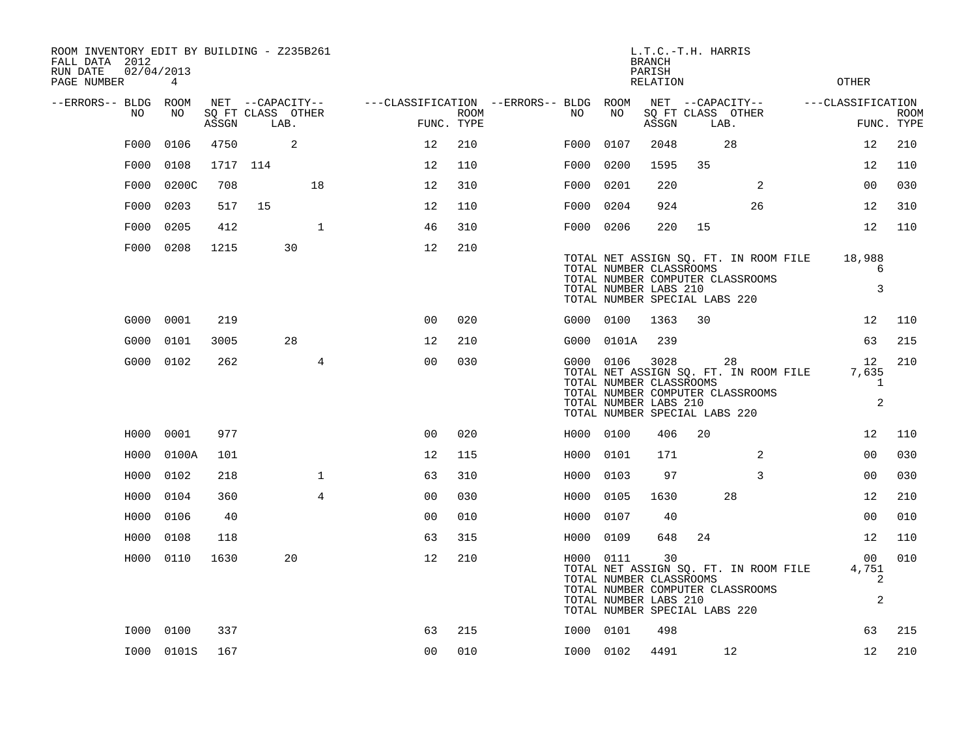| ROOM INVENTORY EDIT BY BUILDING - Z235B261<br>FALL DATA 2012<br>RUN DATE<br>02/04/2013<br>PAGE NUMBER | $4\overline{ }$ |       |                                               |                |                                                      |      |           |                                                                                                     | L.T.C.-T.H. HARRIS<br><b>BRANCH</b><br>PARISH<br><b>RELATION</b> |    |                                                                                 | <b>OTHER</b>                       |                           |
|-------------------------------------------------------------------------------------------------------|-----------------|-------|-----------------------------------------------|----------------|------------------------------------------------------|------|-----------|-----------------------------------------------------------------------------------------------------|------------------------------------------------------------------|----|---------------------------------------------------------------------------------|------------------------------------|---------------------------|
| --ERRORS-- BLDG ROOM<br>NO                                                                            | NO              | ASSGN | NET --CAPACITY--<br>SQ FT CLASS OTHER<br>LAB. |                | ---CLASSIFICATION --ERRORS-- BLDG ROOM<br>FUNC. TYPE | ROOM | NO        | NO                                                                                                  | ASSGN                                                            |    | NET --CAPACITY--<br>SQ FT CLASS OTHER<br>LAB.                                   | ---CLASSIFICATION                  | <b>ROOM</b><br>FUNC. TYPE |
| F000                                                                                                  | 0106            | 4750  | 2                                             |                | 12                                                   | 210  | F000      | 0107                                                                                                | 2048                                                             |    | 28                                                                              | 12                                 | 210                       |
| F000                                                                                                  | 0108            |       | 1717 114                                      |                | 12                                                   | 110  | F000      | 0200                                                                                                | 1595                                                             | 35 |                                                                                 | 12                                 | 110                       |
| F000                                                                                                  | 0200C           | 708   |                                               | 18             | 12                                                   | 310  | F000      | 0201                                                                                                | 220                                                              |    | 2                                                                               | 0 <sub>0</sub>                     | 030                       |
| F000                                                                                                  | 0203            | 517   | 15                                            |                | 12                                                   | 110  | F000      | 0204                                                                                                | 924                                                              |    | 26                                                                              | 12                                 | 310                       |
| F000                                                                                                  | 0205            | 412   |                                               | $\mathbf{1}$   | 46                                                   | 310  | F000 0206 |                                                                                                     | 220                                                              | 15 |                                                                                 | 12                                 | 110                       |
|                                                                                                       | F000 0208       | 1215  | 30                                            |                | 12                                                   | 210  |           | TOTAL NUMBER CLASSROOMS<br>TOTAL NUMBER LABS 210<br>TOTAL NUMBER SPECIAL LABS 220                   |                                                                  |    | TOTAL NET ASSIGN SQ. FT. IN ROOM FILE<br>TOTAL NUMBER COMPUTER CLASSROOMS       | 18,988<br>6<br>3                   |                           |
|                                                                                                       | G000 0001       | 219   |                                               |                | 0 <sub>0</sub>                                       | 020  |           | G000 0100                                                                                           | 1363                                                             | 30 |                                                                                 | 12 <sup>°</sup>                    | 110                       |
| G000                                                                                                  | 0101            | 3005  | 28                                            |                | 12                                                   | 210  |           | G000 0101A                                                                                          | 239                                                              |    |                                                                                 | 63                                 | 215                       |
|                                                                                                       | G000 0102       | 262   |                                               | $\overline{4}$ | 0 <sub>0</sub>                                       | 030  |           | G000 0106 3028<br>TOTAL NUMBER CLASSROOMS<br>TOTAL NUMBER LABS 210<br>TOTAL NUMBER SPECIAL LABS 220 |                                                                  |    | 28<br>TOTAL NET ASSIGN SQ. FT. IN ROOM FILE<br>TOTAL NUMBER COMPUTER CLASSROOMS | 12<br>7,635<br>$\mathbf{1}$<br>2   | 210                       |
|                                                                                                       | H000 0001       | 977   |                                               |                | 0 <sup>0</sup>                                       | 020  | H000 0100 |                                                                                                     | 406                                                              | 20 |                                                                                 | 12                                 | 110                       |
| H000                                                                                                  | 0100A           | 101   |                                               |                | 12                                                   | 115  | H000      | 0101                                                                                                | 171                                                              |    | 2                                                                               | 00                                 | 030                       |
| H000                                                                                                  | 0102            | 218   |                                               | $\mathbf{1}$   | 63                                                   | 310  | H000      | 0103                                                                                                | 97                                                               |    | 3                                                                               | 00                                 | 030                       |
| H000                                                                                                  | 0104            | 360   |                                               | $\overline{4}$ | 0 <sub>0</sub>                                       | 030  | H000 0105 |                                                                                                     | 1630                                                             |    | 28                                                                              | 12                                 | 210                       |
| H000                                                                                                  | 0106            | 40    |                                               |                | 0 <sub>0</sub>                                       | 010  | H000      | 0107                                                                                                | 40                                                               |    |                                                                                 | 0 <sub>0</sub>                     | 010                       |
| H000                                                                                                  | 0108            | 118   |                                               |                | 63                                                   | 315  | H000 0109 |                                                                                                     | 648                                                              | 24 |                                                                                 | 12                                 | 110                       |
|                                                                                                       | H000 0110       | 1630  | 20                                            |                | 12                                                   | 210  |           | H000 0111<br>TOTAL NUMBER CLASSROOMS<br>TOTAL NUMBER LABS 210<br>TOTAL NUMBER SPECIAL LABS 220      | 30                                                               |    | TOTAL NET ASSIGN SQ. FT. IN ROOM FILE<br>TOTAL NUMBER COMPUTER CLASSROOMS       | 00<br>4,751<br>2<br>$\overline{a}$ | 010                       |
|                                                                                                       | I000 0100       | 337   |                                               |                | 63                                                   | 215  | I000 0101 |                                                                                                     | 498                                                              |    |                                                                                 | 63                                 | 215                       |
|                                                                                                       | I000 0101S      | 167   |                                               |                | 0 <sub>0</sub>                                       | 010  | I000 0102 |                                                                                                     | 4491                                                             |    | 12                                                                              | 12                                 | 210                       |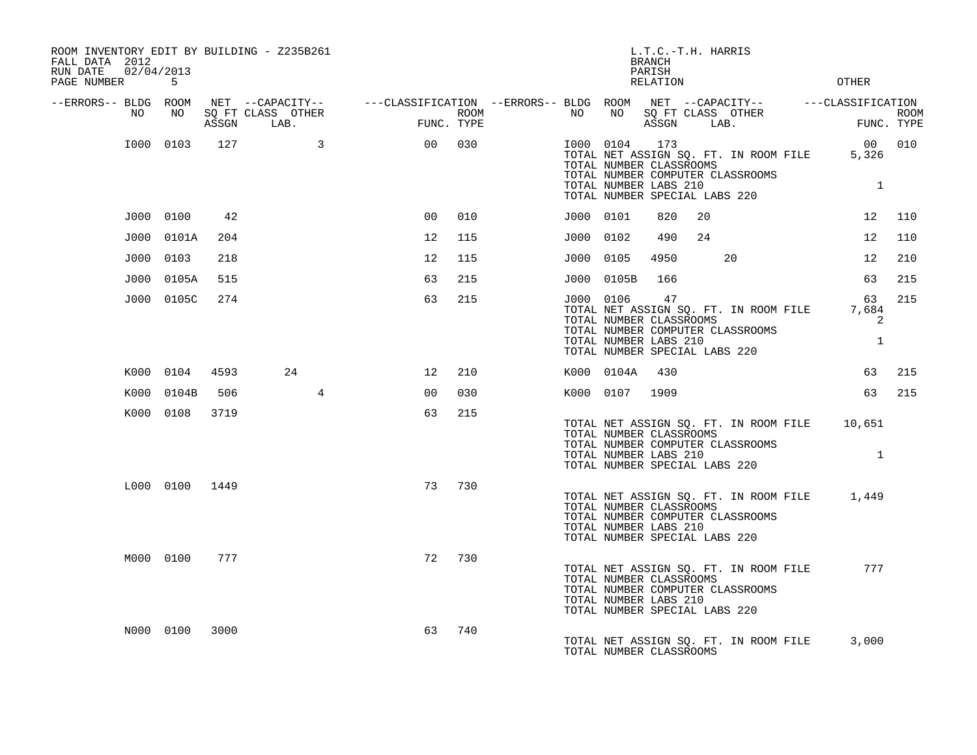| ROOM INVENTORY EDIT BY BUILDING - Z235B261<br>FALL DATA 2012<br>RUN DATE | 02/04/2013     |       |                                                                                                                             |                |      |           |                                                                                                | L.T.C.-T.H. HARRIS<br><b>BRANCH</b><br>PARISH |    |                                                                           |                                  |        |
|--------------------------------------------------------------------------|----------------|-------|-----------------------------------------------------------------------------------------------------------------------------|----------------|------|-----------|------------------------------------------------------------------------------------------------|-----------------------------------------------|----|---------------------------------------------------------------------------|----------------------------------|--------|
| PAGE NUMBER                                                              | 5              |       |                                                                                                                             |                |      |           |                                                                                                | RELATION                                      |    |                                                                           | <b>OTHER</b>                     |        |
| --ERRORS-- BLDG ROOM<br>NO                                               | NO             | ASSGN | NET --CAPACITY-- - ---CLASSIFICATION --ERRORS-- BLDG ROOM NET --CAPACITY-- - ---CLASSIFICATION<br>SQ FT CLASS OTHER<br>LAB. | FUNC. TYPE     | ROOM | NO        | NO                                                                                             | ASSGN                                         |    | SQ FT CLASS OTHER<br>LAB.                                                 | FUNC. TYPE                       | ROOM   |
|                                                                          | I000 0103      | 127   | $\overline{3}$                                                                                                              | 0 <sup>0</sup> | 030  |           | I000 0104<br>TOTAL NUMBER CLASSROOMS<br>TOTAL NUMBER LABS 210<br>TOTAL NUMBER SPECIAL LABS 220 | 173                                           |    | TOTAL NET ASSIGN SQ. FT. IN ROOM FILE<br>TOTAL NUMBER COMPUTER CLASSROOMS | 5,326<br>$\mathbf{1}$            | 00 010 |
|                                                                          | J000 0100      | 42    |                                                                                                                             | 0 <sup>0</sup> | 010  | J000 0101 |                                                                                                | 820                                           | 20 |                                                                           | 12 <sup>°</sup>                  | 110    |
|                                                                          | J000 0101A     | 204   |                                                                                                                             | 12             | 115  | J000 0102 |                                                                                                | 490                                           | 24 |                                                                           | 12                               | 110    |
|                                                                          | J000 0103      | 218   |                                                                                                                             | 12             | 115  | J000 0105 |                                                                                                | 4950                                          |    | 20                                                                        | 12                               | 210    |
|                                                                          | J000 0105A     | 515   |                                                                                                                             | 63             | 215  |           | J000 0105B                                                                                     | 166                                           |    |                                                                           | 63                               | 215    |
|                                                                          | J000 0105C     | 274   |                                                                                                                             | 63             | 215  | J000 0106 | TOTAL NUMBER CLASSROOMS<br>TOTAL NUMBER LABS 210<br>TOTAL NUMBER SPECIAL LABS 220              | 47                                            |    | TOTAL NET ASSIGN SQ. FT. IN ROOM FILE<br>TOTAL NUMBER COMPUTER CLASSROOMS | 63<br>7,684<br>2<br>$\mathbf{1}$ | 215    |
|                                                                          | K000 0104      | 4593  | 24                                                                                                                          | 12             | 210  |           | K000 0104A                                                                                     | 430                                           |    |                                                                           | 63                               | 215    |
|                                                                          | K000 0104B     | 506   | $4\overline{ }$                                                                                                             | 0 <sub>0</sub> | 030  |           | K000 0107                                                                                      | 1909                                          |    |                                                                           | 63                               | 215    |
|                                                                          | K000 0108      | 3719  |                                                                                                                             | 63             | 215  |           | TOTAL NUMBER CLASSROOMS<br>TOTAL NUMBER LABS 210<br>TOTAL NUMBER SPECIAL LABS 220              |                                               |    | TOTAL NET ASSIGN SQ. FT. IN ROOM FILE<br>TOTAL NUMBER COMPUTER CLASSROOMS | 10,651<br>$\mathbf{1}$           |        |
|                                                                          | L000 0100 1449 |       |                                                                                                                             | 73             | 730  |           | TOTAL NUMBER CLASSROOMS<br>TOTAL NUMBER LABS 210<br>TOTAL NUMBER SPECIAL LABS 220              |                                               |    | TOTAL NET ASSIGN SQ. FT. IN ROOM FILE<br>TOTAL NUMBER COMPUTER CLASSROOMS | 1,449                            |        |
|                                                                          | M000 0100      | 777   |                                                                                                                             | 72             | 730  |           | TOTAL NUMBER CLASSROOMS<br>TOTAL NUMBER LABS 210<br>TOTAL NUMBER SPECIAL LABS 220              |                                               |    | TOTAL NET ASSIGN SQ. FT. IN ROOM FILE<br>TOTAL NUMBER COMPUTER CLASSROOMS | 777                              |        |
|                                                                          | N000 0100      | 3000  |                                                                                                                             | 63             | 740  |           | TOTAL NUMBER CLASSROOMS                                                                        |                                               |    | TOTAL NET ASSIGN SQ. FT. IN ROOM FILE                                     | 3,000                            |        |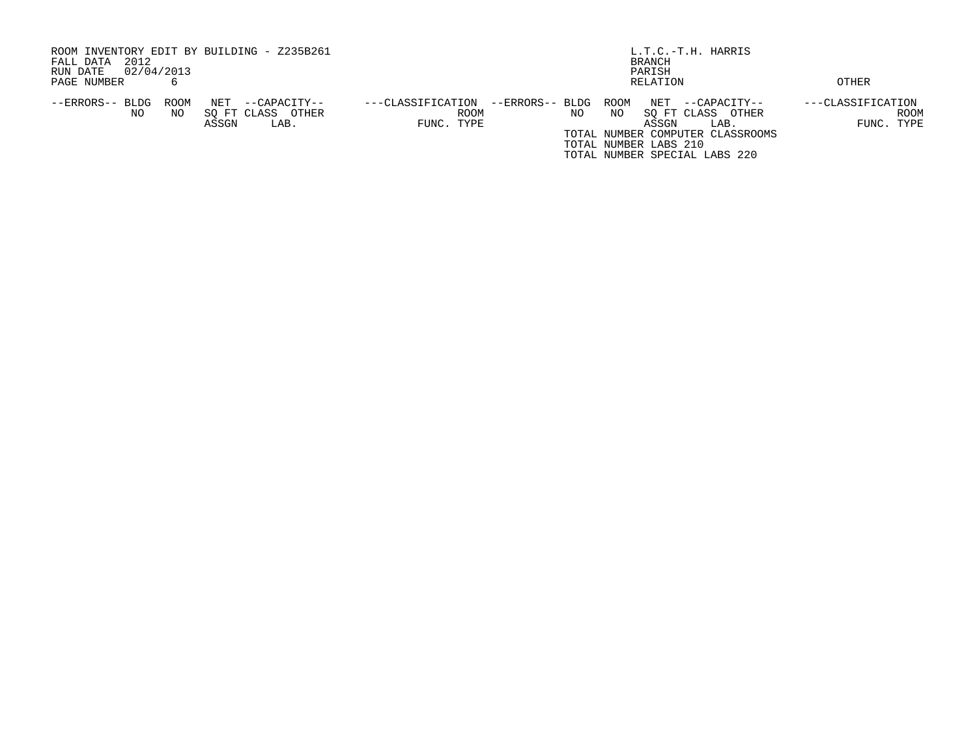| ROOM INVENTORY EDIT BY BUILDING - Z235B261     |                                      | L.T.C.-T.H. HARRIS                |                   |  |  |  |  |  |  |
|------------------------------------------------|--------------------------------------|-----------------------------------|-------------------|--|--|--|--|--|--|
| 2012<br>FALL DATA                              |                                      | BRANCH                            |                   |  |  |  |  |  |  |
| 02/04/2013<br>RUN DATE                         | PARISH                               |                                   |                   |  |  |  |  |  |  |
| PAGE NUMBER                                    |                                      | RELATION                          | OTHER             |  |  |  |  |  |  |
|                                                |                                      |                                   |                   |  |  |  |  |  |  |
| NET<br>ROOM<br>--ERRORS-- BLDG<br>--CAPACITY-- | --ERRORS-- BLDG<br>---CLASSIFICATION | ROOM<br>NET<br>$-$ -CAPACITY--    | ---CLASSIFICATION |  |  |  |  |  |  |
| OTHER<br>NO<br>SO FT CLASS<br>NO.              | <b>ROOM</b>                          | SO FT CLASS<br>NO.<br>NO<br>OTHER | ROOM              |  |  |  |  |  |  |
| ASSGN<br>LAB.                                  | FUNC. TYPE                           | ASSGN<br>LAB.                     | FUNC. TYPE        |  |  |  |  |  |  |
|                                                |                                      | TOTAL NUMBER COMPUTER CLASSROOMS  |                   |  |  |  |  |  |  |
|                                                |                                      | TOTAL NUMBER LABS 210             |                   |  |  |  |  |  |  |
|                                                |                                      | TOTAL NUMBER SPECIAL LABS 220     |                   |  |  |  |  |  |  |